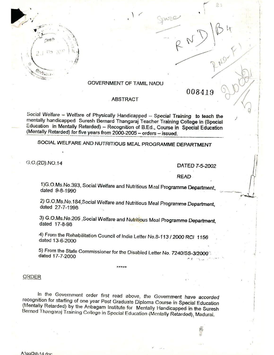

## GOVERNMENT OF TAMIL NADLJ

 $\langle$ 

WC

008419

•.... i l • 1

 $83$ 

 $\mathbb{R}^D$ 

1

r

I I

in the case of 1 I

1 I

**i** 

## ABSTRACT

Social Welfare - Welfare of Physically Handicapped - Special Training to teach the menially handicapped Suresh Bernard Thangaraj Teacher Training College In (Special Education in Mentally Retarded) - Recognition of B.Ed., Course in Special Education (Mentally Retarded) for five years from  $2000$ - $2005$  - orders - issued.

SOCIAL WELFARE AND NUTRITIOUS MEAL PROGRAMME DEPARTMENT

G.O.(2D).NO.14

DATED *7-5-2002*

READ **•** 

1)G.O.Ms.No.393. Social Welfare and Nutritious M~al Programma Oepa.rtment. dated 9-8-1990

2) G.O.Ms.No.184,Social Welrare *and* Nutritious Meal Programme *Department,* dated 27-7-1998

3) G.O.Ms.No.205 ,Social Welfare *and* Nutritious Meal Programme Departmant, daled 17-8-98

4) From the Rehabilitation Council of India Letter No.8-113 / 2000 RCI 1156 dated 13-6~2000

5) From *the* State Commissioner for the Disabled Letter No. 7240/S5-312ooo': dated  $17 - 7 - 2000$ 

**....•.....•.•.**

#### ORDER

In the Government order first read above, the Government have accorded recognition for starting of one year Post Graduate Diploma Course in Special Education (Mentally Reiarded) by the Anbagam Institute for Menially Handicapped in the Suresh Bernad Thangaraj Training Collogo in Spocial Education (Mentally Retardod), Madurai.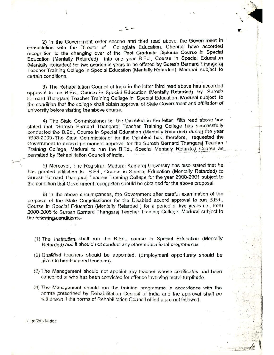2) In the Government order second and third read above, the Government in consultation with the Director of Collegiate Education, Chennai have accorded recognition to the changing over of the Post Graduate Diploma Course in Special Education (Mentally Retarded) into one year B.Ed., Course in Special Education (Mentally Retarded) for two academic years to be offered by Suresh Bernard Thangaraj Teacher Training College in Special Education (Mentally Retarded), Madurai subject to certain conditions.

 $2.$ 

, ,

•••

I ! '.

..l-

i

1 I

1

I  $3 - 1$ 

.' .j

 $\cdot$   $\cdot$   $\cdot$ ....\~

 $\sim$   $\frac{1}{2}$   $\sqrt{|\mathcal{L}|^2 + 1}$ 

...\_--~., -~' .•..~

 $\frac{1}{2}$ ,..I "'. :i

 $\frac{1}{2}$  .0;  $\frac{1}{2}$  ,  $\frac{1}{2}$  ,  $\frac{1}{2}$  ,  $\frac{1}{2}$ 

3) The Rehabilitation Council of India in the letter third read above has accorded approval to run B.Ed., Course in Special Education (Mentally Retarded) by Suresh Bernard Thangaraj Teacher Training College in Special Education, Madural subject to tho condition that the college shall obtain approval of Slate Government and affiliation of univorsity before starting the above course.

4) The State Commissioner for the Disabled in the letter fifth read above has stated that "Suresh Bernard Thangaraj Teacher Training College has successfully conducted the B.Ed., Course in Special Education (Mentally Retarded) during the year 1998-2000. The Stato Commissioner for the Disabled has, therefore, requested the Government to accord permanent approval for the Suresh Bernard Thangaraj Teacher Training College, Madurai to run the B.Ed., Special Mentally Retarded Course as permitted by Rehabilitation Council of India.

5) Moreover, The Registrar, Madurai Kamaraj University has also stated that he has granted affiliation to B.Ed., Course in Special Education (Mentally Retarded) to Suresh Bernard Thangaraj Teacher Training College for the year 2000-2001 subject to the condition that Government recognition should be obtained for the above proposal.

6) In the above circumstances, the Government after careful examination of the proposal of the State Commissioner for the Disabled accord approval to run B.Ed., Course in Special Education (Mentally Retarded) for a period of five years i.e., from 2000-2005 to Suresh Barnard Thangaraj Teacher Training College, Madurai subject to the following conditions:-

- (1) The institution shall run the B.Ed., course in Special Education (Mentally Retarded) and it should not conduct any other educational programmes
- (2) Qualified teachers should be appointed. (Employment opportunity should be given to handicapped teachers).
- (3) The Management should not appoint any teacher whose certificates had been cancelled or who has been convicted for offence involving moral turptitude.
- $(4)$  The Management should run the training programme in accordance with the norms prescribed by Rehabilitation Council of *India* and the approval shall be withdrawn if the norms of Rehabilitation Council of India are not followed.

 $'$ :\go( $2d$ )-14.doc